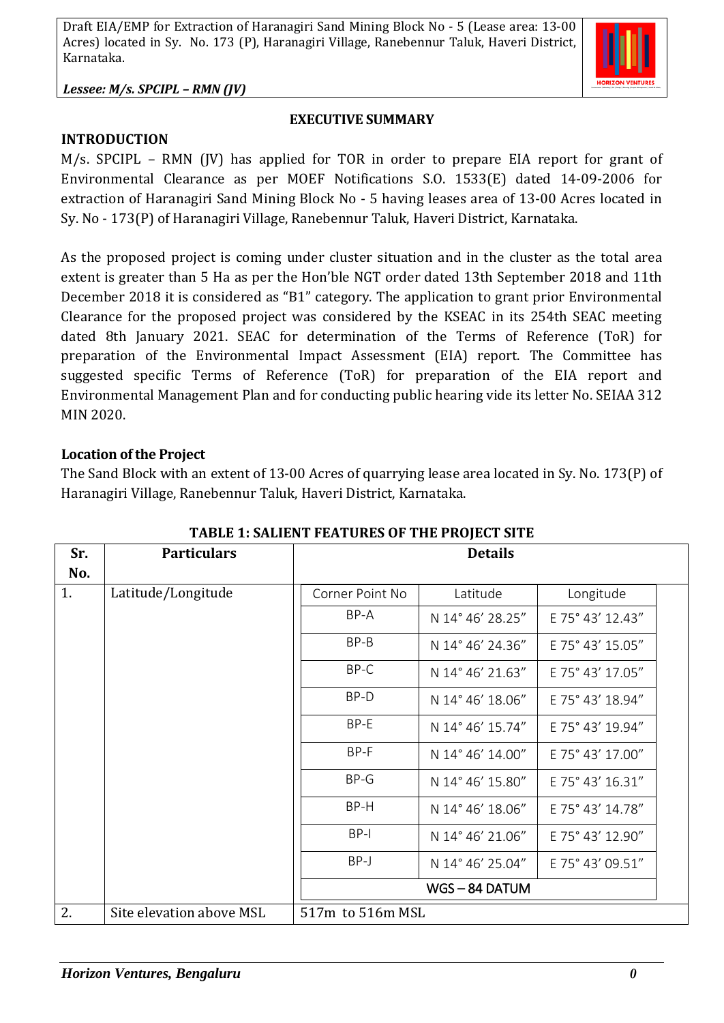

#### **EXECUTIVE SUMMARY**

**INTRODUCTION**

M/s. SPCIPL – RMN (JV) has applied for TOR in order to prepare EIA report for grant of Environmental Clearance as per MOEF Notifications S.O. 1533(E) dated 14-09-2006 for extraction of Haranagiri Sand Mining Block No - 5 having leases area of 13-00 Acres located in Sy. No - 173(P) of Haranagiri Village, Ranebennur Taluk, Haveri District, Karnataka.

As the proposed project is coming under cluster situation and in the cluster as the total area extent is greater than 5 Ha as per the Hon'ble NGT order dated 13th September 2018 and 11th December 2018 it is considered as "B1" category. The application to grant prior Environmental Clearance for the proposed project was considered by the KSEAC in its 254th SEAC meeting dated 8th January 2021. SEAC for determination of the Terms of Reference (ToR) for preparation of the Environmental Impact Assessment (EIA) report. The Committee has suggested specific Terms of Reference (ToR) for preparation of the EIA report and Environmental Management Plan and for conducting public hearing vide its letter No. SEIAA 312 MIN 2020.

### **Location of the Project**

The Sand Block with an extent of 13-00 Acres of quarrying lease area located in Sy. No. 173(P) of Haranagiri Village, Ranebennur Taluk, Haveri District, Karnataka.

| Sr. | <b>Particulars</b>       | <b>Details</b>   |                  |                  |
|-----|--------------------------|------------------|------------------|------------------|
| No. |                          |                  |                  |                  |
| 1.  | Latitude/Longitude       | Corner Point No  | Latitude         | Longitude        |
|     |                          | BP-A             | N 14° 46' 28.25" | E 75° 43' 12.43" |
|     |                          | BP-B             | N 14° 46' 24.36" | E 75° 43' 15.05" |
|     |                          | BP-C             | N 14° 46' 21.63" | E 75° 43' 17.05" |
|     |                          | BP-D             | N 14° 46' 18.06" | E 75° 43' 18.94" |
|     |                          | BP-E             | N 14° 46' 15.74" | E 75° 43' 19.94" |
|     |                          | BP-F             | N 14° 46' 14.00" | E 75° 43' 17.00" |
|     |                          | $BP-G$           | N 14° 46' 15.80" | E 75° 43' 16.31" |
|     |                          | BP-H             | N 14° 46' 18.06" | E 75° 43' 14.78" |
|     |                          | $BP-I$           | N 14° 46' 21.06" | E 75° 43' 12.90" |
|     |                          | BP-J             | N 14° 46' 25.04" | E 75° 43' 09.51" |
|     |                          |                  | WGS-84 DATUM     |                  |
| 2.  | Site elevation above MSL | 517m to 516m MSL |                  |                  |

**TABLE 1: SALIENT FEATURES OF THE PROJECT SITE**

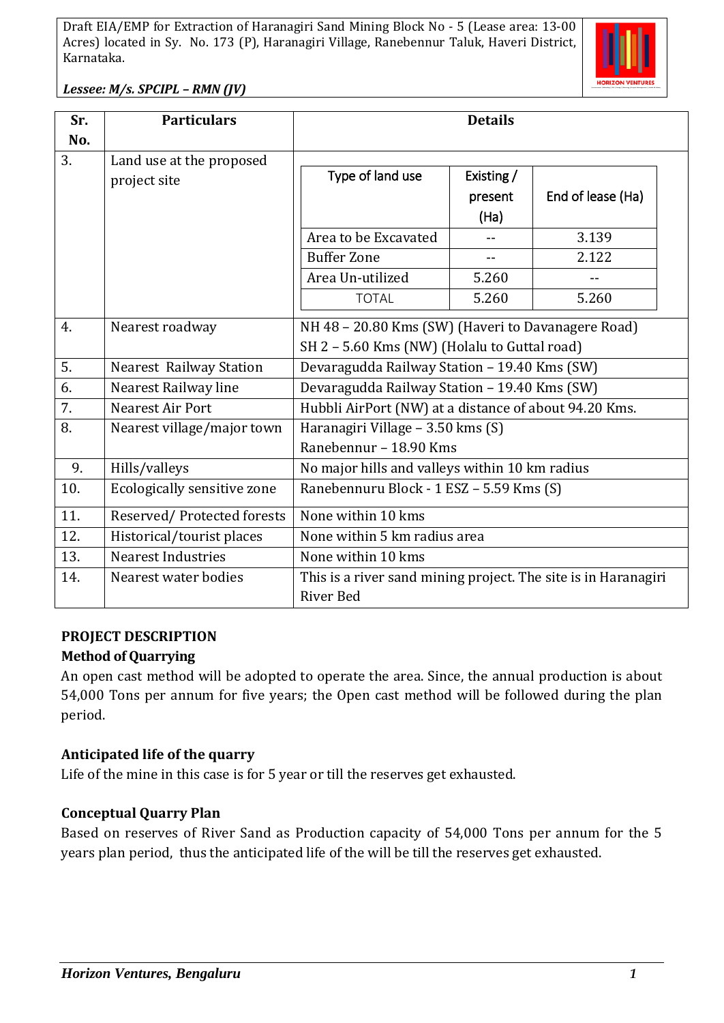

*Lessee: M/s. SPCIPL – RMN (JV)*

| Sr. | <b>Particulars</b>                       | <b>Details</b>                                                                                     |                                               |                                     |  |
|-----|------------------------------------------|----------------------------------------------------------------------------------------------------|-----------------------------------------------|-------------------------------------|--|
| No. |                                          |                                                                                                    |                                               |                                     |  |
| 3.  | Land use at the proposed<br>project site | Type of land use<br>Area to be Excavated<br><b>Buffer Zone</b><br>Area Un-utilized                 | Existing /<br>present<br>(Ha)<br>$-$<br>5.260 | End of lease (Ha)<br>3.139<br>2.122 |  |
|     |                                          | <b>TOTAL</b>                                                                                       | 5.260                                         | 5.260                               |  |
| 4.  | Nearest roadway                          | NH 48 - 20.80 Kms (SW) (Haveri to Davanagere Road)<br>SH 2 - 5.60 Kms (NW) (Holalu to Guttal road) |                                               |                                     |  |
| 5.  | <b>Nearest Railway Station</b>           | Devaragudda Railway Station - 19.40 Kms (SW)                                                       |                                               |                                     |  |
| 6.  | Nearest Railway line                     | Devaragudda Railway Station - 19.40 Kms (SW)                                                       |                                               |                                     |  |
| 7.  | Nearest Air Port                         | Hubbli AirPort (NW) at a distance of about 94.20 Kms.                                              |                                               |                                     |  |
| 8.  | Nearest village/major town               | Haranagiri Village - 3.50 kms (S)<br>Ranebennur - 18.90 Kms                                        |                                               |                                     |  |
| 9.  | Hills/valleys                            | No major hills and valleys within 10 km radius                                                     |                                               |                                     |  |
| 10. | Ecologically sensitive zone              | Ranebennuru Block - 1 ESZ - 5.59 Kms (S)                                                           |                                               |                                     |  |
| 11. | Reserved/Protected forests               | None within 10 kms                                                                                 |                                               |                                     |  |
| 12. | Historical/tourist places                | None within 5 km radius area                                                                       |                                               |                                     |  |
| 13. | <b>Nearest Industries</b>                | None within 10 kms                                                                                 |                                               |                                     |  |
| 14. | Nearest water bodies                     | This is a river sand mining project. The site is in Haranagiri<br>River Bed                        |                                               |                                     |  |

# **PROJECT DESCRIPTION**

### **Method of Quarrying**

An open cast method will be adopted to operate the area. Since, the annual production is about 54,000 Tons per annum for five years; the Open cast method will be followed during the plan period.

### **Anticipated life of the quarry**

Life of the mine in this case is for 5 year or till the reserves get exhausted.

#### **Conceptual Quarry Plan**

Based on reserves of River Sand as Production capacity of 54,000 Tons per annum for the 5 years plan period, thus the anticipated life of the will be till the reserves get exhausted.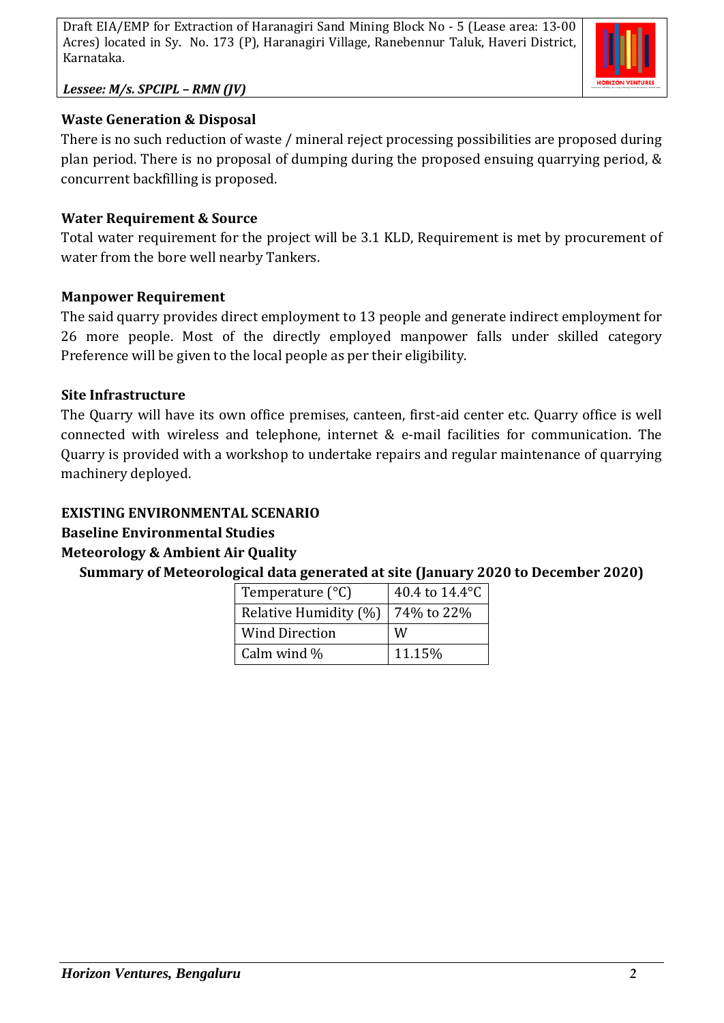

*Lessee: M/s. SPCIPL – RMN (JV)*

## **Waste Generation & Disposal**

There is no such reduction of waste / mineral reject processing possibilities are proposed during plan period. There is no proposal of dumping during the proposed ensuing quarrying period, & concurrent backfilling is proposed.

## **Water Requirement & Source**

Total water requirement for the project will be 3.1 KLD, Requirement is met by procurement of water from the bore well nearby Tankers.

## **Manpower Requirement**

The said quarry provides direct employment to 13 people and generate indirect employment for 26 more people. Most of the directly employed manpower falls under skilled category Preference will be given to the local people as per their eligibility.

### **Site Infrastructure**

The Quarry will have its own office premises, canteen, first-aid center etc. Quarry office is well connected with wireless and telephone, internet & e-mail facilities for communication. The Quarry is provided with a workshop to undertake repairs and regular maintenance of quarrying machinery deployed.

## **EXISTING ENVIRONMENTAL SCENARIO**

# **Baseline Environmental Studies**

# **Meteorology & Ambient Air Quality**

**Summary of Meteorological data generated at site (January 2020 to December 2020)**

| Temperature $(^{\circ}C)$ | 40.4 to 14.4°C |  |  |
|---------------------------|----------------|--|--|
| Relative Humidity (%)     | 74% to 22%     |  |  |
| <b>Wind Direction</b>     | W              |  |  |
| Calm wind $\%$            | 11.15%         |  |  |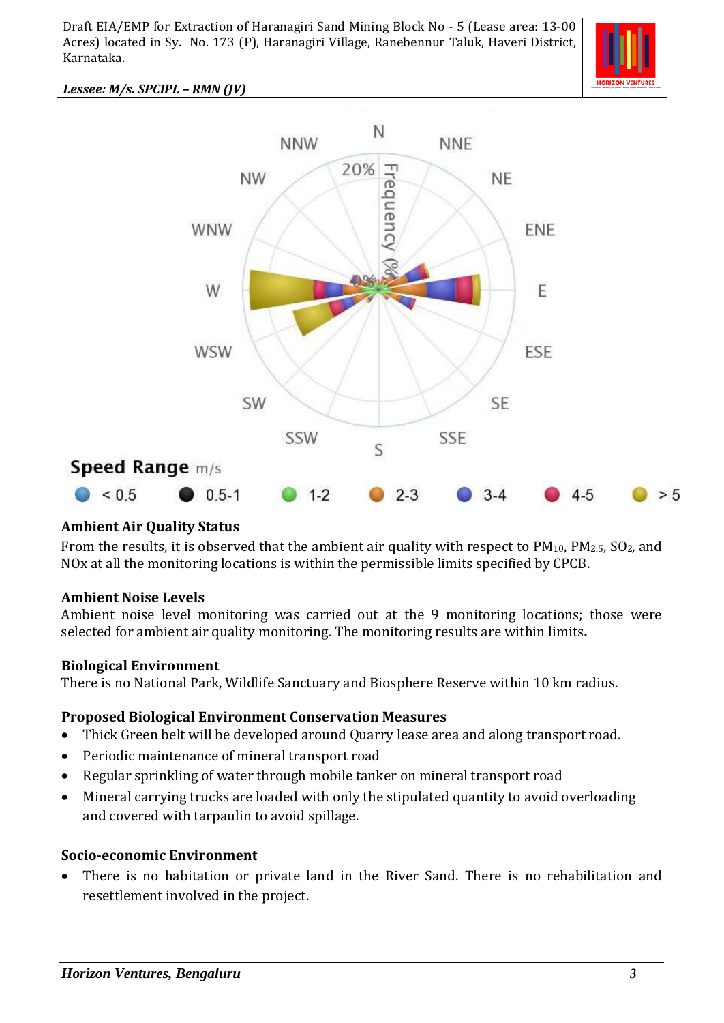

*Lessee: M/s. SPCIPL – RMN (JV)*



### **Ambient Air Quality Status**

From the results, it is observed that the ambient air quality with respect to PM<sub>10</sub>, PM<sub>2.5</sub>, SO<sub>2</sub>, and NOx at all the monitoring locations is within the permissible limits specified by CPCB.

#### **Ambient Noise Levels**

Ambient noise level monitoring was carried out at the 9 monitoring locations; those were selected for ambient air quality monitoring. The monitoring results are within limits**.**

#### **Biological Environment**

There is no National Park, Wildlife Sanctuary and Biosphere Reserve within 10 km radius.

#### **Proposed Biological Environment Conservation Measures**

- Thick Green belt will be developed around Quarry lease area and along transport road.
- Periodic maintenance of mineral transport road
- Regular sprinkling of water through mobile tanker on mineral transport road
- Mineral carrying trucks are loaded with only the stipulated quantity to avoid overloading and covered with tarpaulin to avoid spillage.

#### **Socio-economic Environment**

• There is no habitation or private land in the River Sand. There is no rehabilitation and resettlement involved in the project.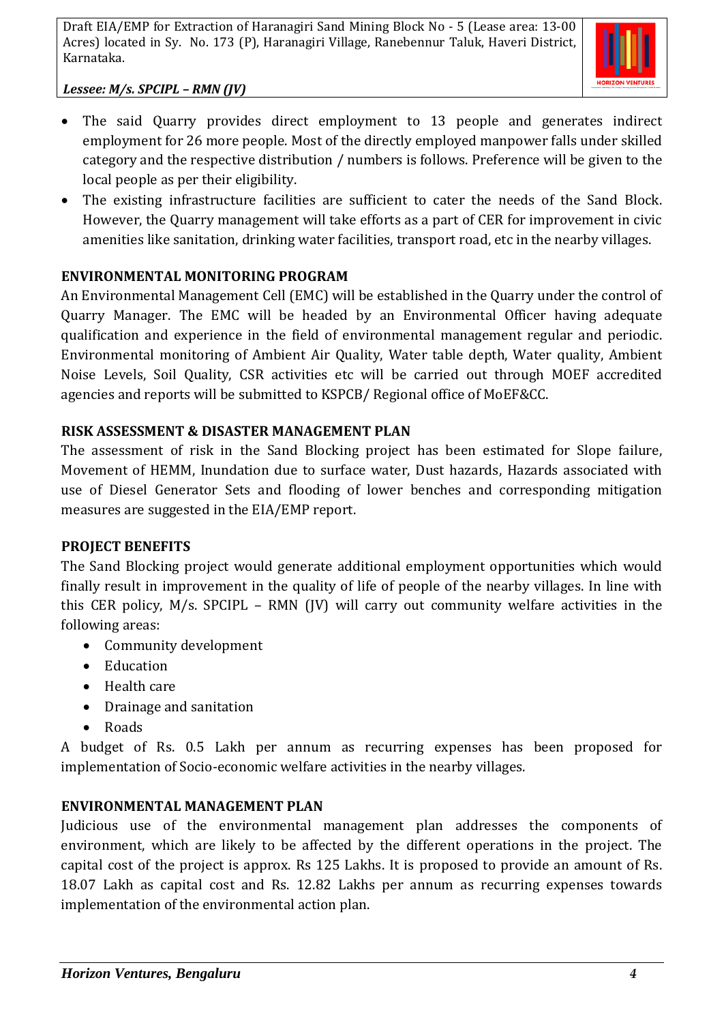

*Lessee: M/s. SPCIPL – RMN (JV)*

- The said Quarry provides direct employment to 13 people and generates indirect employment for 26 more people. Most of the directly employed manpower falls under skilled category and the respective distribution / numbers is follows. Preference will be given to the local people as per their eligibility.
- The existing infrastructure facilities are sufficient to cater the needs of the Sand Block. However, the Quarry management will take efforts as a part of CER for improvement in civic amenities like sanitation, drinking water facilities, transport road, etc in the nearby villages.

# **ENVIRONMENTAL MONITORING PROGRAM**

An Environmental Management Cell (EMC) will be established in the Quarry under the control of Quarry Manager. The EMC will be headed by an Environmental Officer having adequate qualification and experience in the field of environmental management regular and periodic. Environmental monitoring of Ambient Air Quality, Water table depth, Water quality, Ambient Noise Levels, Soil Quality, CSR activities etc will be carried out through MOEF accredited agencies and reports will be submitted to KSPCB/ Regional office of MoEF&CC.

## **RISK ASSESSMENT & DISASTER MANAGEMENT PLAN**

The assessment of risk in the Sand Blocking project has been estimated for Slope failure, Movement of HEMM, Inundation due to surface water, Dust hazards, Hazards associated with use of Diesel Generator Sets and flooding of lower benches and corresponding mitigation measures are suggested in the EIA/EMP report.

### **PROJECT BENEFITS**

The Sand Blocking project would generate additional employment opportunities which would finally result in improvement in the quality of life of people of the nearby villages. In line with this CER policy, M/s. SPCIPL – RMN (JV) will carry out community welfare activities in the following areas:

- Community development
- Education
- Health care
- Drainage and sanitation
- Roads

A budget of Rs. 0.5 Lakh per annum as recurring expenses has been proposed for implementation of Socio-economic welfare activities in the nearby villages.

# **ENVIRONMENTAL MANAGEMENT PLAN**

Judicious use of the environmental management plan addresses the components of environment, which are likely to be affected by the different operations in the project. The capital cost of the project is approx. Rs 125 Lakhs. It is proposed to provide an amount of Rs. 18.07 Lakh as capital cost and Rs. 12.82 Lakhs per annum as recurring expenses towards implementation of the environmental action plan.